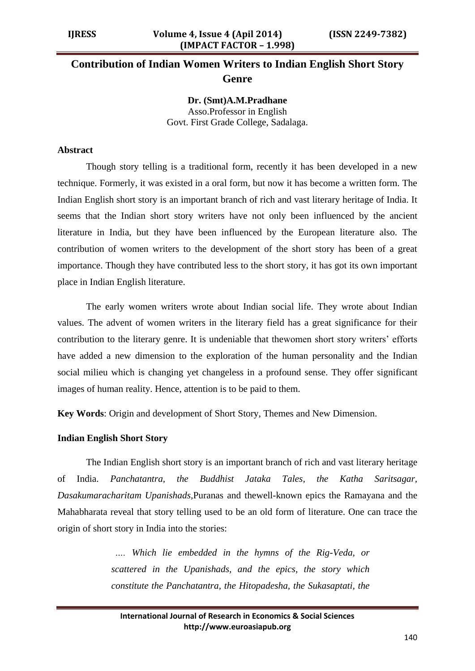# **Contribution of Indian Women Writers to Indian English Short Story Genre**

**Dr. (Smt)A.M.Pradhane** Asso.Professor in English Govt. First Grade College, Sadalaga.

#### **Abstract**

Though story telling is a traditional form, recently it has been developed in a new technique. Formerly, it was existed in a oral form, but now it has become a written form. The Indian English short story is an important branch of rich and vast literary heritage of India. It seems that the Indian short story writers have not only been influenced by the ancient literature in India, but they have been influenced by the European literature also. The contribution of women writers to the development of the short story has been of a great importance. Though they have contributed less to the short story, it has got its own important place in Indian English literature.

The early women writers wrote about Indian social life. They wrote about Indian values. The advent of women writers in the literary field has a great significance for their contribution to the literary genre. It is undeniable that thewomen short story writers" efforts have added a new dimension to the exploration of the human personality and the Indian social milieu which is changing yet changeless in a profound sense. They offer significant images of human reality. Hence, attention is to be paid to them.

**Key Words**: Origin and development of Short Story, Themes and New Dimension.

#### **Indian English Short Story**

The Indian English short story is an important branch of rich and vast literary heritage of India. *Panchatantra, the Buddhist Jataka Tales, the Katha Saritsagar, Dasakumaracharitam Upanishads,*Puranas and thewell-known epics the Ramayana and the Mahabharata reveal that story telling used to be an old form of literature. One can trace the origin of short story in India into the stories:

> *…. Which lie embedded in the hymns of the Rig-Veda, or scattered in the Upanishads, and the epics, the story which constitute the Panchatantra, the Hitopadesha, the Sukasaptati, the*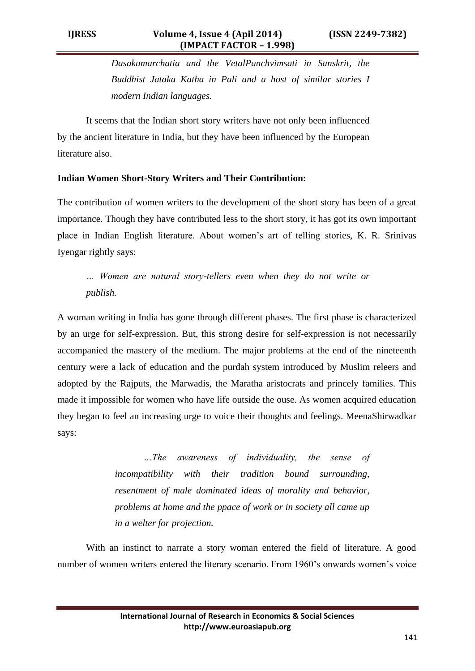*Dasakumarchatia and the VetalPanchvimsati in Sanskrit, the Buddhist Jataka Katha in Pali and a host of similar stories I modern Indian languages.* 

It seems that the Indian short story writers have not only been influenced by the ancient literature in India, but they have been influenced by the European literature also.

## **Indian Women Short-Story Writers and Their Contribution:**

The contribution of women writers to the development of the short story has been of a great importance. Though they have contributed less to the short story, it has got its own important place in Indian English literature. About women"s art of telling stories, K. R. Srinivas Iyengar rightly says:

*… Women are natural story-tellers even when they do not write or publish.*

A woman writing in India has gone through different phases. The first phase is characterized by an urge for self-expression. But, this strong desire for self-expression is not necessarily accompanied the mastery of the medium. The major problems at the end of the nineteenth century were a lack of education and the purdah system introduced by Muslim releers and adopted by the Rajputs, the Marwadis, the Maratha aristocrats and princely families. This made it impossible for women who have life outside the ouse. As women acquired education they began to feel an increasing urge to voice their thoughts and feelings. MeenaShirwadkar says:

> *…The awareness of individuality, the sense of incompatibility with their tradition bound surrounding, resentment of male dominated ideas of morality and behavior, problems at home and the ppace of work or in society all came up in a welter for projection.*

With an instinct to narrate a story woman entered the field of literature. A good number of women writers entered the literary scenario. From 1960"s onwards women"s voice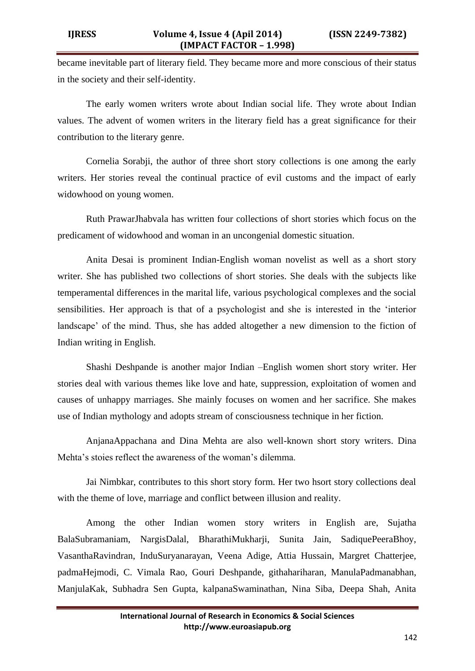became inevitable part of literary field. They became more and more conscious of their status in the society and their self-identity.

The early women writers wrote about Indian social life. They wrote about Indian values. The advent of women writers in the literary field has a great significance for their contribution to the literary genre.

Cornelia Sorabji, the author of three short story collections is one among the early writers. Her stories reveal the continual practice of evil customs and the impact of early widowhood on young women.

Ruth PrawarJhabvala has written four collections of short stories which focus on the predicament of widowhood and woman in an uncongenial domestic situation.

Anita Desai is prominent Indian-English woman novelist as well as a short story writer. She has published two collections of short stories. She deals with the subjects like temperamental differences in the marital life, various psychological complexes and the social sensibilities. Her approach is that of a psychologist and she is interested in the "interior landscape' of the mind. Thus, she has added altogether a new dimension to the fiction of Indian writing in English.

Shashi Deshpande is another major Indian –English women short story writer. Her stories deal with various themes like love and hate, suppression, exploitation of women and causes of unhappy marriages. She mainly focuses on women and her sacrifice. She makes use of Indian mythology and adopts stream of consciousness technique in her fiction.

AnjanaAppachana and Dina Mehta are also well-known short story writers. Dina Mehta's stoies reflect the awareness of the woman's dilemma.

Jai Nimbkar, contributes to this short story form. Her two hsort story collections deal with the theme of love, marriage and conflict between illusion and reality.

Among the other Indian women story writers in English are, Sujatha BalaSubramaniam, NargisDalal, BharathiMukharji, Sunita Jain, SadiquePeeraBhoy, VasanthaRavindran, InduSuryanarayan, Veena Adige, Attia Hussain, Margret Chatterjee, padmaHejmodi, C. Vimala Rao, Gouri Deshpande, githahariharan, ManulaPadmanabhan, ManjulaKak, Subhadra Sen Gupta, kalpanaSwaminathan, Nina Siba, Deepa Shah, Anita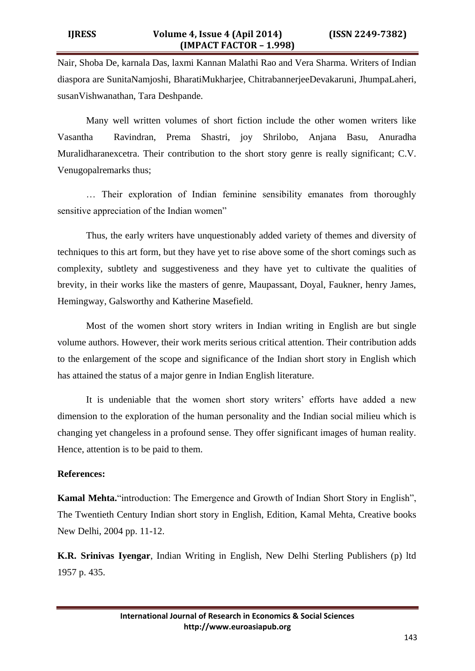Nair, Shoba De, karnala Das, laxmi Kannan Malathi Rao and Vera Sharma. Writers of Indian diaspora are SunitaNamjoshi, BharatiMukharjee, ChitrabannerjeeDevakaruni, JhumpaLaheri, susanVishwanathan, Tara Deshpande.

Many well written volumes of short fiction include the other women writers like Vasantha Ravindran, Prema Shastri, joy Shrilobo, Anjana Basu, Anuradha Muralidharanexcetra. Their contribution to the short story genre is really significant; C.V. Venugopalremarks thus;

… Their exploration of Indian feminine sensibility emanates from thoroughly sensitive appreciation of the Indian women"

Thus, the early writers have unquestionably added variety of themes and diversity of techniques to this art form, but they have yet to rise above some of the short comings such as complexity, subtlety and suggestiveness and they have yet to cultivate the qualities of brevity, in their works like the masters of genre, Maupassant, Doyal, Faukner, henry James, Hemingway, Galsworthy and Katherine Masefield.

Most of the women short story writers in Indian writing in English are but single volume authors. However, their work merits serious critical attention. Their contribution adds to the enlargement of the scope and significance of the Indian short story in English which has attained the status of a major genre in Indian English literature.

It is undeniable that the women short story writers' efforts have added a new dimension to the exploration of the human personality and the Indian social milieu which is changing yet changeless in a profound sense. They offer significant images of human reality. Hence, attention is to be paid to them.

### **References:**

**Kamal Mehta.**"introduction: The Emergence and Growth of Indian Short Story in English", The Twentieth Century Indian short story in English, Edition, Kamal Mehta, Creative books New Delhi, 2004 pp. 11-12.

**K.R. Srinivas Iyengar**, Indian Writing in English, New Delhi Sterling Publishers (p) ltd 1957 p. 435.